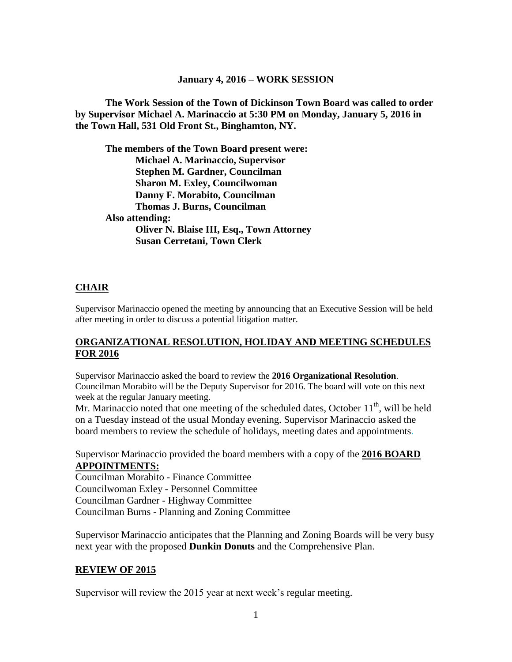#### **January 4, 2016 – WORK SESSION**

**The Work Session of the Town of Dickinson Town Board was called to order by Supervisor Michael A. Marinaccio at 5:30 PM on Monday, January 5, 2016 in the Town Hall, 531 Old Front St., Binghamton, NY.**

**The members of the Town Board present were: Michael A. Marinaccio, Supervisor Stephen M. Gardner, Councilman Sharon M. Exley, Councilwoman Danny F. Morabito, Councilman Thomas J. Burns, Councilman Also attending: Oliver N. Blaise III, Esq., Town Attorney Susan Cerretani, Town Clerk**

#### **CHAIR**

Supervisor Marinaccio opened the meeting by announcing that an Executive Session will be held after meeting in order to discuss a potential litigation matter.

#### **ORGANIZATIONAL RESOLUTION, HOLIDAY AND MEETING SCHEDULES FOR 2016**

Supervisor Marinaccio asked the board to review the **2016 Organizational Resolution**. Councilman Morabito will be the Deputy Supervisor for 2016. The board will vote on this next week at the regular January meeting.

Mr. Marinaccio noted that one meeting of the scheduled dates, October  $11<sup>th</sup>$ , will be held on a Tuesday instead of the usual Monday evening. Supervisor Marinaccio asked the board members to review the schedule of holidays, meeting dates and appointments.

Supervisor Marinaccio provided the board members with a copy of the **2016 BOARD APPOINTMENTS:**

Councilman Morabito - Finance Committee Councilwoman Exley - Personnel Committee Councilman Gardner - Highway Committee Councilman Burns - Planning and Zoning Committee

Supervisor Marinaccio anticipates that the Planning and Zoning Boards will be very busy next year with the proposed **Dunkin Donuts** and the Comprehensive Plan.

#### **REVIEW OF 2015**

Supervisor will review the 2015 year at next week's regular meeting.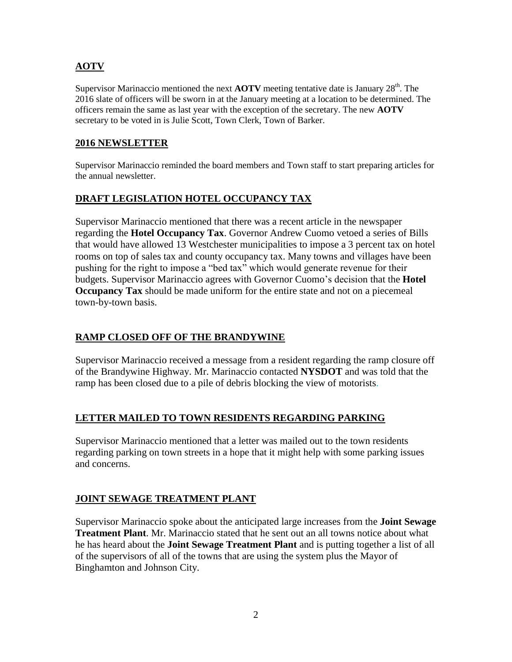# **AOTV**

Supervisor Marinaccio mentioned the next **AOTV** meeting tentative date is January 28<sup>th</sup>. The 2016 slate of officers will be sworn in at the January meeting at a location to be determined. The officers remain the same as last year with the exception of the secretary. The new **AOTV** secretary to be voted in is Julie Scott, Town Clerk, Town of Barker.

#### **2016 NEWSLETTER**

Supervisor Marinaccio reminded the board members and Town staff to start preparing articles for the annual newsletter.

### **DRAFT LEGISLATION HOTEL OCCUPANCY TAX**

Supervisor Marinaccio mentioned that there was a recent article in the newspaper regarding the **Hotel Occupancy Tax**. Governor Andrew Cuomo vetoed a series of Bills that would have allowed 13 Westchester municipalities to impose a 3 percent tax on hotel rooms on top of sales tax and county occupancy tax. Many towns and villages have been pushing for the right to impose a "bed tax" which would generate revenue for their budgets. Supervisor Marinaccio agrees with Governor Cuomo's decision that the **Hotel Occupancy Tax** should be made uniform for the entire state and not on a piecemeal town-by-town basis.

### **RAMP CLOSED OFF OF THE BRANDYWINE**

Supervisor Marinaccio received a message from a resident regarding the ramp closure off of the Brandywine Highway. Mr. Marinaccio contacted **NYSDOT** and was told that the ramp has been closed due to a pile of debris blocking the view of motorists.

### **LETTER MAILED TO TOWN RESIDENTS REGARDING PARKING**

Supervisor Marinaccio mentioned that a letter was mailed out to the town residents regarding parking on town streets in a hope that it might help with some parking issues and concerns.

### **JOINT SEWAGE TREATMENT PLANT**

Supervisor Marinaccio spoke about the anticipated large increases from the **Joint Sewage Treatment Plant**. Mr. Marinaccio stated that he sent out an all towns notice about what he has heard about the **Joint Sewage Treatment Plant** and is putting together a list of all of the supervisors of all of the towns that are using the system plus the Mayor of Binghamton and Johnson City.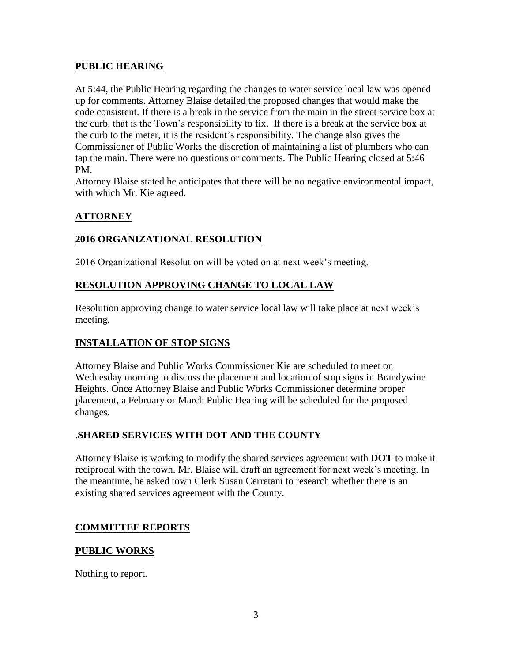### **PUBLIC HEARING**

At 5:44, the Public Hearing regarding the changes to water service local law was opened up for comments. Attorney Blaise detailed the proposed changes that would make the code consistent. If there is a break in the service from the main in the street service box at the curb, that is the Town's responsibility to fix. If there is a break at the service box at the curb to the meter, it is the resident's responsibility. The change also gives the Commissioner of Public Works the discretion of maintaining a list of plumbers who can tap the main. There were no questions or comments. The Public Hearing closed at 5:46 PM.

Attorney Blaise stated he anticipates that there will be no negative environmental impact, with which Mr. Kie agreed.

# **ATTORNEY**

### **2016 ORGANIZATIONAL RESOLUTION**

2016 Organizational Resolution will be voted on at next week's meeting.

# **RESOLUTION APPROVING CHANGE TO LOCAL LAW**

Resolution approving change to water service local law will take place at next week's meeting.

# **INSTALLATION OF STOP SIGNS**

Attorney Blaise and Public Works Commissioner Kie are scheduled to meet on Wednesday morning to discuss the placement and location of stop signs in Brandywine Heights. Once Attorney Blaise and Public Works Commissioner determine proper placement, a February or March Public Hearing will be scheduled for the proposed changes.

### .**SHARED SERVICES WITH DOT AND THE COUNTY**

Attorney Blaise is working to modify the shared services agreement with **DOT** to make it reciprocal with the town. Mr. Blaise will draft an agreement for next week's meeting. In the meantime, he asked town Clerk Susan Cerretani to research whether there is an existing shared services agreement with the County.

### **COMMITTEE REPORTS**

### **PUBLIC WORKS**

Nothing to report.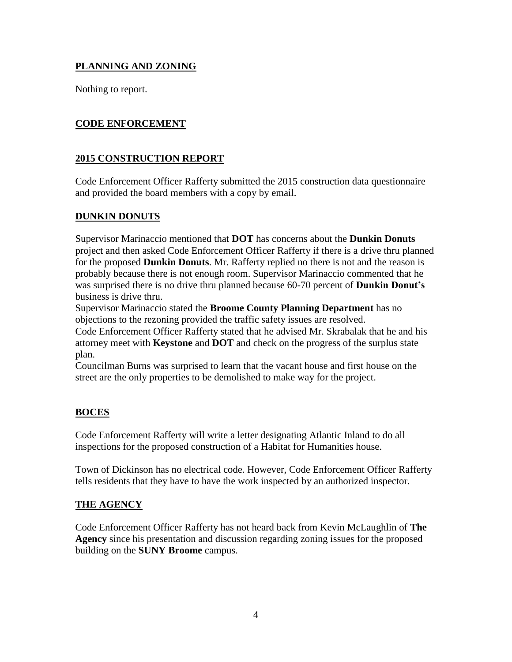# **PLANNING AND ZONING**

Nothing to report.

# **CODE ENFORCEMENT**

### **2015 CONSTRUCTION REPORT**

Code Enforcement Officer Rafferty submitted the 2015 construction data questionnaire and provided the board members with a copy by email.

### **DUNKIN DONUTS**

Supervisor Marinaccio mentioned that **DOT** has concerns about the **Dunkin Donuts** project and then asked Code Enforcement Officer Rafferty if there is a drive thru planned for the proposed **Dunkin Donuts**. Mr. Rafferty replied no there is not and the reason is probably because there is not enough room. Supervisor Marinaccio commented that he was surprised there is no drive thru planned because 60-70 percent of **Dunkin Donut's** business is drive thru.

Supervisor Marinaccio stated the **Broome County Planning Department** has no objections to the rezoning provided the traffic safety issues are resolved.

Code Enforcement Officer Rafferty stated that he advised Mr. Skrabalak that he and his attorney meet with **Keystone** and **DOT** and check on the progress of the surplus state plan.

Councilman Burns was surprised to learn that the vacant house and first house on the street are the only properties to be demolished to make way for the project.

### **BOCES**

Code Enforcement Rafferty will write a letter designating Atlantic Inland to do all inspections for the proposed construction of a Habitat for Humanities house.

Town of Dickinson has no electrical code. However, Code Enforcement Officer Rafferty tells residents that they have to have the work inspected by an authorized inspector.

### **THE AGENCY**

Code Enforcement Officer Rafferty has not heard back from Kevin McLaughlin of **The Agency** since his presentation and discussion regarding zoning issues for the proposed building on the **SUNY Broome** campus.